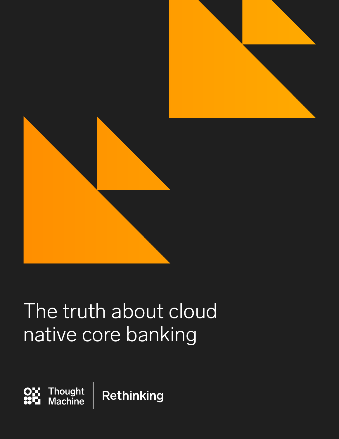

# The truth about cloud native core banking

Thought<br>Machine Rethinking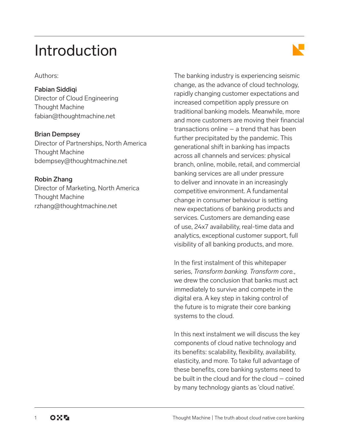## Introduction

Authors:

Fabian Siddiqi Director of Cloud Engineering Thought Machine [fabian@thoughtmachine.net](mailto:fabian%40thoughtmachine.net?subject=)

Brian Dempsey

Director of Partnerships, North America Thought Machine [bdempsey@thoughtmachine.net](mailto:bdempsey%40thoughtmachine.net?subject=)

Robin Zhang Director of Marketing, North America Thought Machine [rzhang@thoughtmachine.net](mailto:rzhang%40thoughtmachine.net?subject=)

The banking industry is experiencing seismic change, as the advance of cloud technology, rapidly changing customer expectations and increased competition apply pressure on traditional banking models. Meanwhile, more and more customers are moving their financial transactions online – a trend that has been further precipitated by the pandemic. This generational shift in banking has impacts across all channels and services: physical branch, online, mobile, retail, and commercial banking services are all under pressure to deliver and innovate in an increasingly competitive environment. A fundamental change in consumer behaviour is setting new expectations of banking products and services. Customers are demanding ease of use, 24x7 availability, real-time data and analytics, exceptional customer support, full visibility of all banking products, and more.

In the first instalment of this whitepaper series, *Transform banking. Transform core.*, we drew the conclusion that banks must act immediately to survive and compete in the digital era. A key step in taking control of the future is to migrate their core banking systems to the cloud.

In this next instalment we will discuss the key components of cloud native technology and its benefits: scalability, flexibility, availability, elasticity, and more. To take full advantage of these benefits, core banking systems need to be built in the cloud and for the cloud – coined by many technology giants as 'cloud native'.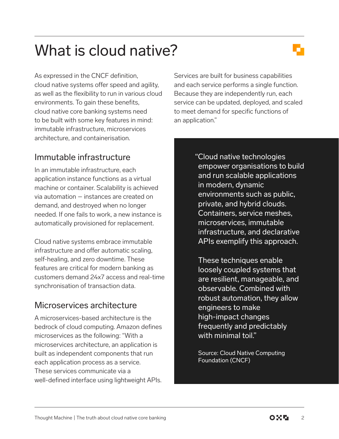## What is cloud native?

As expressed in the CNCF definition, cloud native systems offer speed and agility, as well as the flexibility to run in various cloud environments. To gain these benefits, cloud native core banking systems need to be built with some key features in mind: immutable infrastructure, microservices architecture, and containerisation.

## Immutable infrastructure

In an immutable infrastructure, each application instance functions as a virtual machine or container. Scalability is achieved via automation – instances are created on demand, and destroyed when no longer needed. If one fails to work, a new instance is automatically provisioned for replacement.

Cloud native systems embrace immutable infrastructure and offer automatic scaling, self-healing, and zero downtime. These features are critical for modern banking as customers demand 24x7 access and real-time synchronisation of transaction data.

## Microservices architecture

A microservices-based architecture is the bedrock of cloud computing. Amazon defines microservices as the following: "With a microservices architecture, an application is built as independent components that run each application process as a service. These services communicate via a well-defined interface using lightweight APIs. Services are built for business capabilities and each service performs a single function. Because they are independently run, each service can be updated, deployed, and scaled to meet demand for specific functions of an application."

> "Cloud native technologies empower organisations to build and run scalable applications in modern, dynamic environments such as public, private, and hybrid clouds. Containers, service meshes, microservices, immutable infrastructure, and declarative APIs exemplify this approach.

These techniques enable loosely coupled systems that are resilient, manageable, and observable. Combined with robust automation, they allow engineers to make high-impact changes frequently and predictably with minimal toil."

Source: Cloud Native Computing Foundation (CNCF)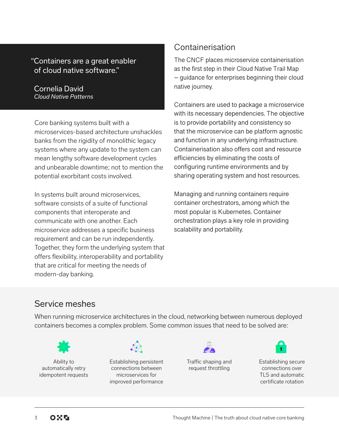#### "Containers are a great enabler of cloud native software."

#### Cornelia David *Cloud Native Patterns*

Core banking systems built with a microservices-based architecture unshackles banks from the rigidity of monolithic legacy systems where any update to the system can mean lengthy software development cycles and unbearable downtime; not to mention the potential exorbitant costs involved.

In systems built around microservices, software consists of a suite of functional components that interoperate and communicate with one another. Each microservice addresses a specific business requirement and can be run independently. Together, they form the underlying system that offers flexibility, interoperability and portability that are critical for meeting the needs of modern-day banking.

### Containerisation

The CNCF places microservice containerisation as the first step in their Cloud Native Trail Map – guidance for enterprises beginning their cloud native journey.

Containers are used to package a microservice with its necessary dependencies. The objective is to provide portability and consistency so that the microservice can be platform agnostic and function in any underlying infrastructure. Containerisation also offers cost and resource efficiencies by eliminating the costs of configuring runtime environments and by sharing operating system and host resources.

Managing and running containers require container orchestrators, among which the most popular is Kubernetes. Container orchestration plays a key role in providing scalability and portability.

### Service meshes

When running microservice architectures in the cloud, networking between numerous deployed containers becomes a complex problem. Some common issues that need to be solved are:



Ability to automatically retry idempotent requests



Establishing persistent connections between microservices for improved performance



Traffic shaping and request throttling



Establishing secure connections over TLS and automatic certificate rotation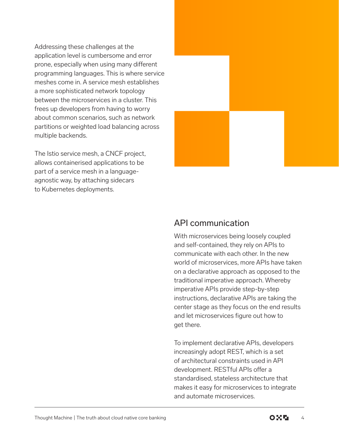Addressing these challenges at the application level is cumbersome and error prone, especially when using many different programming languages. This is where service meshes come in. A service mesh establishes a more sophisticated network topology between the microservices in a cluster. This frees up developers from having to worry about common scenarios, such as network partitions or weighted load balancing across multiple backends.

The Istio service mesh, a CNCF project, allows containerised applications to be part of a service mesh in a languageagnostic way, by attaching sidecars to Kubernetes deployments.



### API communication

With microservices being loosely coupled and self-contained, they rely on APIs to communicate with each other. In the new world of microservices, more APIs have taken on a declarative approach as opposed to the traditional imperative approach. Whereby imperative APIs provide step-by-step instructions, declarative APIs are taking the center stage as they focus on the end results and let microservices figure out how to get there.

To implement declarative APIs, developers increasingly adopt REST, which is a set of architectural constraints used in API development. RESTful APIs offer a standardised, stateless architecture that makes it easy for microservices to integrate and automate microservices.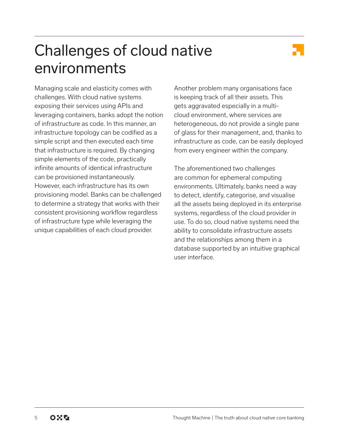## Challenges of cloud native environments

Managing scale and elasticity comes with challenges. With cloud native systems exposing their services using APIs and leveraging containers, banks adopt the notion of infrastructure as code. In this manner, an infrastructure topology can be codified as a simple script and then executed each time that infrastructure is required. By changing simple elements of the code, practically infinite amounts of identical infrastructure can be provisioned instantaneously. However, each infrastructure has its own provisioning model. Banks can be challenged to determine a strategy that works with their consistent provisioning workflow regardless of infrastructure type while leveraging the unique capabilities of each cloud provider.

Another problem many organisations face is keeping track of all their assets. This gets aggravated especially in a multicloud environment, where services are heterogeneous, do not provide a single pane of glass for their management, and, thanks to infrastructure as code, can be easily deployed from every engineer within the company.

The aforementioned two challenges are common for ephemeral computing environments. Ultimately, banks need a way to detect, identify, categorise, and visualise all the assets being deployed in its enterprise systems, regardless of the cloud provider in use. To do so, cloud native systems need the ability to consolidate infrastructure assets and the relationships among them in a database supported by an intuitive graphical user interface.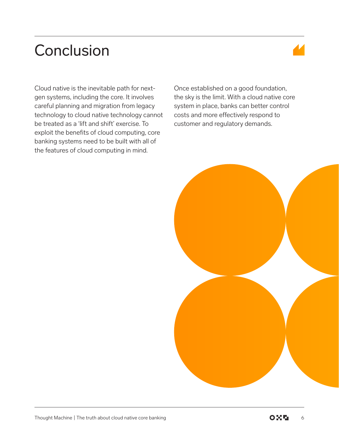## **Conclusion**



Cloud native is the inevitable path for nextgen systems, including the core. It involves careful planning and migration from legacy technology to cloud native technology cannot be treated as a 'lift and shift' exercise. To exploit the benefits of cloud computing, core banking systems need to be built with all of the features of cloud computing in mind.

Once established on a good foundation, the sky is the limit. With a cloud native core system in place, banks can better control costs and more effectively respond to customer and regulatory demands.

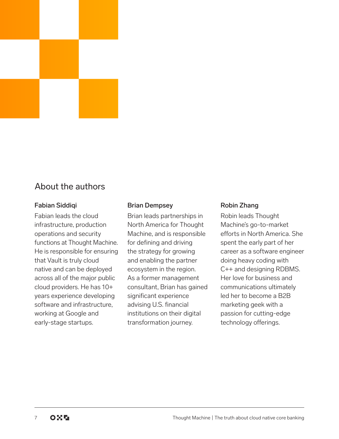

#### Fabian Siddiqi

Fabian leads the cloud infrastructure, production operations and security functions at Thought Machine. He is responsible for ensuring that Vault is truly cloud native and can be deployed across all of the major public cloud providers. He has 10+ years experience developing software and infrastructure, working at Google and early-stage startups.

#### Brian Dempsey

Brian leads partnerships in North America for Thought Machine, and is responsible for defining and driving the strategy for growing and enabling the partner ecosystem in the region. As a former management consultant, Brian has gained significant experience advising U.S. financial institutions on their digital transformation journey.

#### Robin Zhang

Robin leads Thought Machine's go-to-market efforts in North America. She spent the early part of her career as a software engineer doing heavy coding with C++ and designing RDBMS. Her love for business and communications ultimately led her to become a B2B marketing geek with a passion for cutting-edge technology offerings.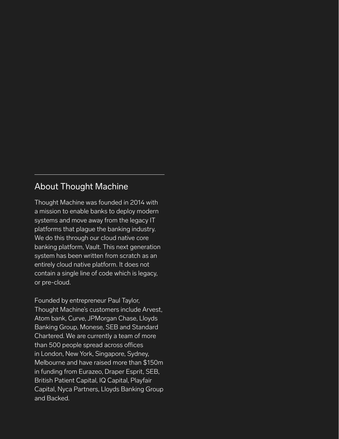#### About Thought Machine

Thought Machine was founded in 2014 with a mission to enable banks to deploy modern systems and move away from the legacy IT platforms that plague the banking industry. We do this through our cloud native core banking platform, Vault. This next generation system has been written from scratch as an entirely cloud native platform. It does not contain a single line of code which is legacy, or pre-cloud.

Founded by entrepreneur Paul Taylor, Thought Machine's customers include Arvest, Atom bank, Curve, JPMorgan Chase, Lloyds Banking Group, Monese, SEB and Standard Chartered. We are currently a team of more than 500 people spread across offices in London, New York, Singapore, Sydney, Melbourne and have raised more than \$150m in funding from Eurazeo, Draper Esprit, SEB, British Patient Capital, IQ Capital, Playfair Capital, Nyca Partners, Lloyds Banking Group and Backed.